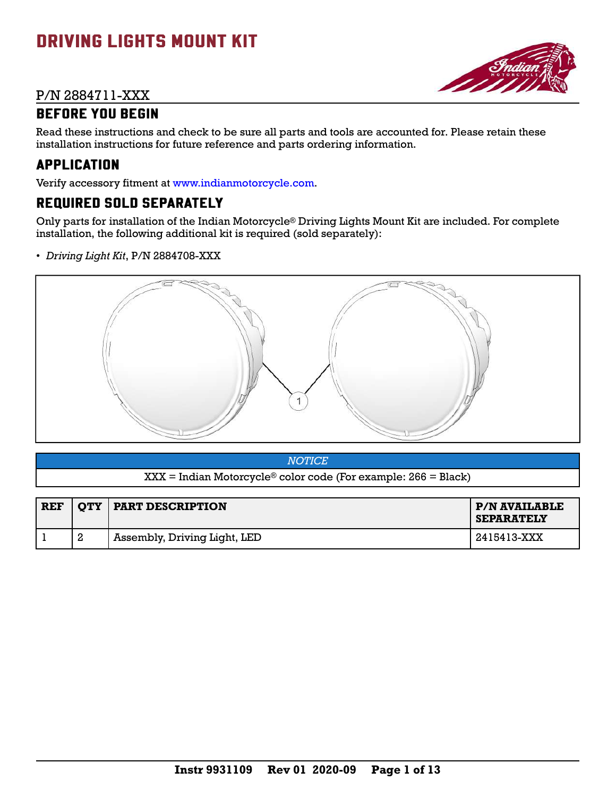# DRIVING LIGHTS MOUNT KIT

### P/N 2884711-XXX



### BEFORE YOU BEGIN

Read these instructions and check to be sure all parts and tools are accounted for. Please retain these installation instructions for future reference and parts ordering information.

### APPLICATION

Verify accessory fitment at [www.indianmotorcycle.com](https://www.indianmotorcycle.com/en-us/).

# REQUIRED SOLD SEPARATELY

Only parts for installation of the Indian Motorcycle® Driving Lights Mount Kit are included. For complete installation, the following additional kit is required (sold separately):

• *Driving Light Kit*, P/N 2884708-XXX



| NOTICE <sup>1</sup>                                              |  |
|------------------------------------------------------------------|--|
| $XXX = Indian Motorcycle® color code (For example: 266 = Black)$ |  |

| <b>REF</b> | <b>OTY</b> | <b>TEART DESCRIPTION</b>     | P/N AVAILABLE<br><b>SEPARATELY</b> |
|------------|------------|------------------------------|------------------------------------|
|            | റ          | Assembly, Driving Light, LED | 2415413-XXX                        |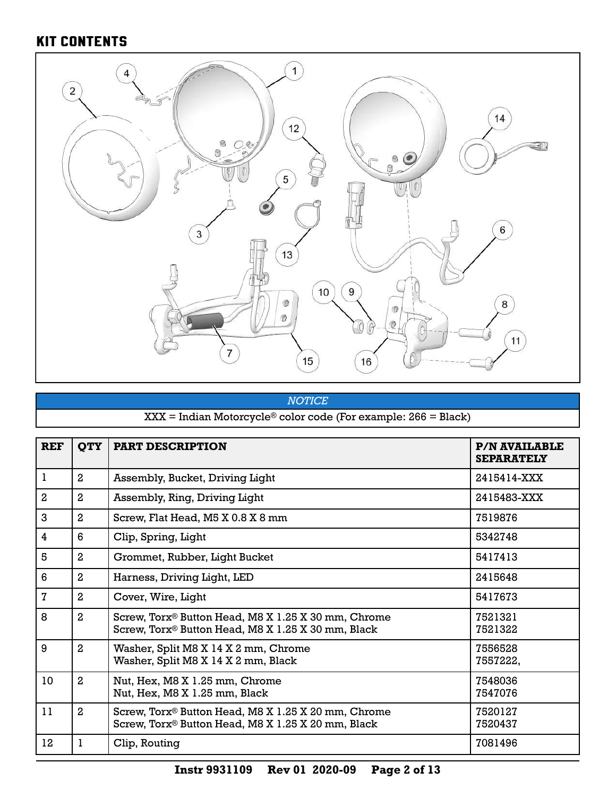# KIT CONTENTS



### *NOTICE* XXX = Indian Motorcycle® color code (For example: 266 = Black)

| <b>REF</b>     | <b>QTY</b>     | <b>PART DESCRIPTION</b>                                                                                               | <b>P/N AVAILABLE</b><br><b>SEPARATELY</b> |
|----------------|----------------|-----------------------------------------------------------------------------------------------------------------------|-------------------------------------------|
| ı              | $\overline{2}$ | Assembly, Bucket, Driving Light                                                                                       | 2415414-XXX                               |
| $\overline{2}$ | $\mathbf{2}$   | Assembly, Ring, Driving Light                                                                                         | 2415483-XXX                               |
| 3              | $\mathbf{2}$   | Screw, Flat Head, M5 X 0.8 X 8 mm                                                                                     | 7519876                                   |
| 4              | 6              | Clip, Spring, Light                                                                                                   | 5342748                                   |
| 5              | $\mathbf{2}$   | Grommet, Rubber, Light Bucket                                                                                         | 5417413                                   |
| 6              | $\mathbf{2}$   | Harness, Driving Light, LED                                                                                           | 2415648                                   |
| 7              | $\mathbf{2}$   | Cover, Wire, Light                                                                                                    | 5417673                                   |
| 8              | $\mathbf{2}$   | Screw, Torx <sup>®</sup> Button Head, M8 X 1.25 X 30 mm, Chrome<br>Screw, Torx® Button Head, M8 X 1.25 X 30 mm, Black | 7521321<br>7521322                        |
| 9              | $\mathbf{2}$   | Washer, Split M8 X 14 X 2 mm, Chrome<br>Washer, Split M8 X 14 X 2 mm, Black                                           | 7556528<br>7557222,                       |
| 10             | $\mathbf{2}$   | Nut, Hex, M8 X 1.25 mm, Chrome<br>Nut, Hex, M8 X 1.25 mm, Black                                                       | 7548036<br>7547076                        |
| 11             | $\mathbf{2}$   | Screw, Torx® Button Head, M8 X 1.25 X 20 mm, Chrome<br>Screw, Torx <sup>®</sup> Button Head, M8 X 1.25 X 20 mm, Black | 7520127<br>7520437                        |
| 12             |                | Clip, Routing                                                                                                         | 7081496                                   |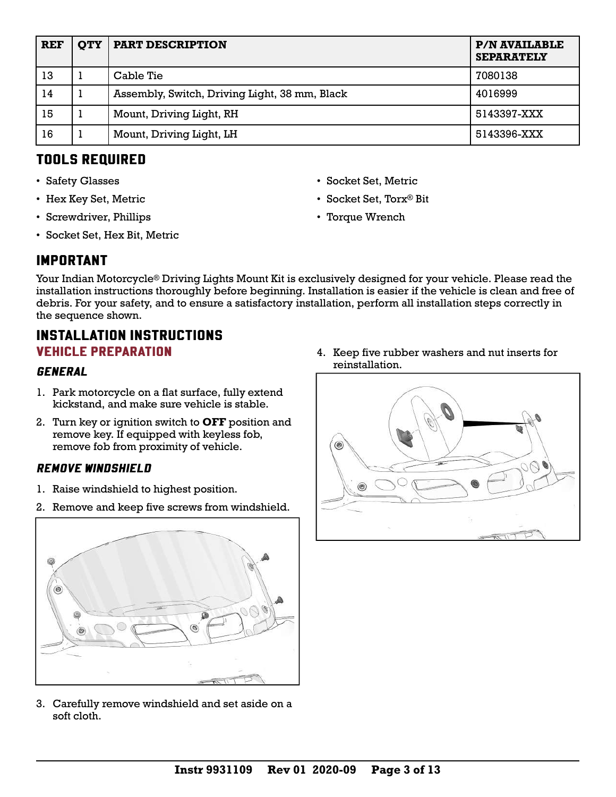| <b>REF</b> | <b>OTY</b> | <b>PART DESCRIPTION</b>                       | <b>P/N AVAILABLE</b><br><b>SEPARATELY</b> |
|------------|------------|-----------------------------------------------|-------------------------------------------|
| 13         |            | Cable Tie                                     | 7080138                                   |
| 14         |            | Assembly, Switch, Driving Light, 38 mm, Black | 4016999                                   |
| 15         |            | Mount, Driving Light, RH                      | 5143397-XXX                               |
| 16         |            | Mount, Driving Light, LH                      | 5143396-XXX                               |

### TOOLS REQUIRED

- Safety Glasses
- Hex Key Set, Metric
- Screwdriver, Phillips
- Socket Set, Hex Bit, Metric
- Socket Set, Metric
- Socket Set, Torx® Bit
- Torque Wrench

## IMPORTANT

Your Indian Motorcycle® Driving Lights Mount Kit is exclusively designed for your vehicle. Please read the installation instructions thoroughly before beginning. Installation is easier if the vehicle is clean and free of debris. For your safety, and to ensure a satisfactory installation, perform all installation steps correctly in the sequence shown.

### INSTALLATION INSTRUCTIONS VEHICLE PREPARATION

#### **GENERAL**

- 1. Park motorcycle on a flat surface, fully extend kickstand, and make sure vehicle is stable.
- 2. Turn key or ignition switch to **OFF** position and remove key. If equipped with keyless fob, remove fob from proximity of vehicle.

#### REMOVE WINDSHIELD

- 1. Raise windshield to highest position.
- 2. Remove and keep five screws from windshield.



3. Carefully remove windshield and set aside on a soft cloth.

4. Keep five rubber washers and nut inserts for reinstallation.

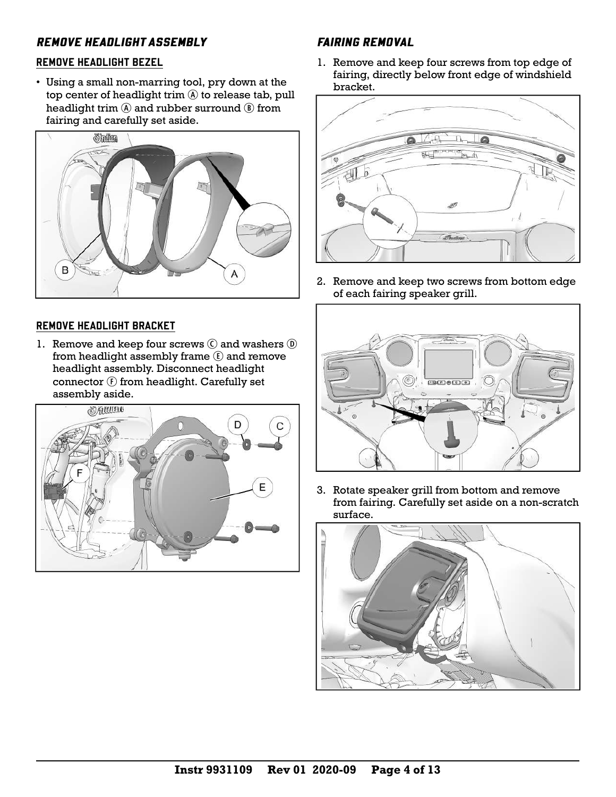### REMOVE HEADLIGHT ASSEMBLY

#### REMOVE HEADLIGHT BEZEL

• Using a small non-marring tool, pry down at the top center of headlight trim  $\mathbb A$  to release tab, pull headlight trim  $\ddot{\text{(A)}}$  and rubber surround  $\ddot{\text{(B)}}$  from fairing and carefully set aside.



#### REMOVE HEADLIGHT BRACKET

1. Remove and keep four screws  $\odot$  and washers  $\odot$ from headlight assembly frame  $\odot$  and remove headlight assembly. Disconnect headlight connector  $\odot$  from headlight. Carefully set assembly aside.



#### FAIRING REMOVAL

1. Remove and keep four screws from top edge of fairing, directly below front edge of windshield bracket.



2. Remove and keep two screws from bottom edge of each fairing speaker grill.



3. Rotate speaker grill from bottom and remove from fairing. Carefully set aside on a non-scratch surface.

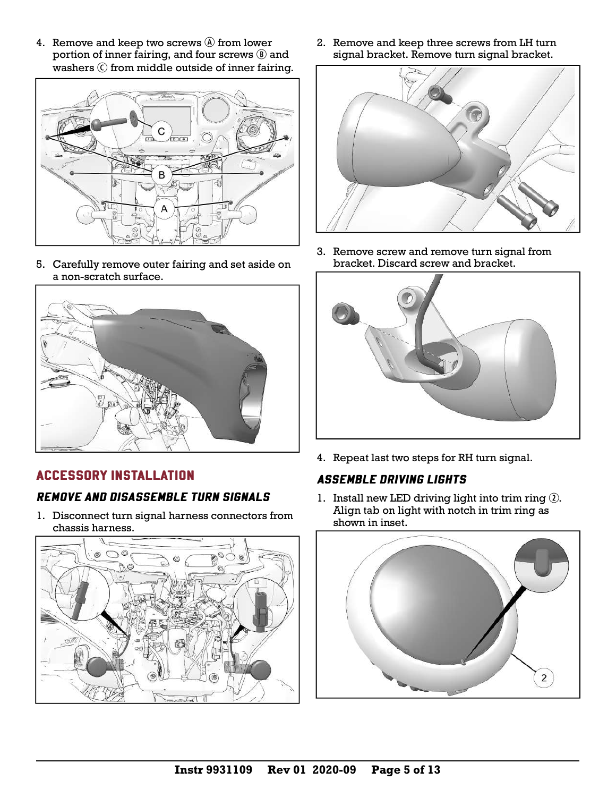4. Remove and keep two screws  $\circledA$  from lower portion of inner fairing, and four screws  $\circledR$  and washers C from middle outside of inner fairing.



5. Carefully remove outer fairing and set aside on a non-scratch surface.



### ACCESSORY INSTALLATION

### REMOVE AND DISASSEMBLE TURN SIGNALS

1. Disconnect turn signal harness connectors from chassis harness.



2. Remove and keep three screws from LH turn signal bracket. Remove turn signal bracket.



3. Remove screw and remove turn signal from bracket. Discard screw and bracket.



4. Repeat last two steps for RH turn signal.

#### ASSEMBLE DRIVING LIGHTS

1. Install new LED driving light into trim ring  $Q$ . Align tab on light with notch in trim ring as shown in inset.

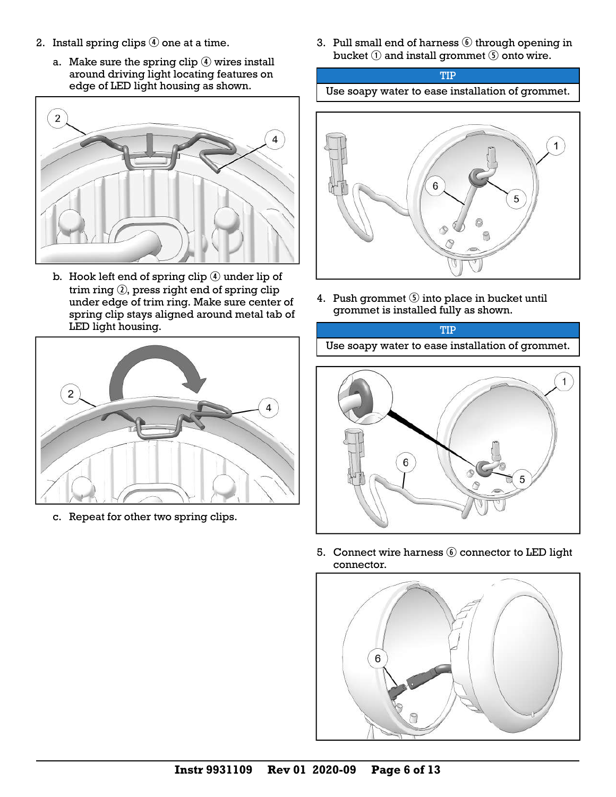- 2. Install spring clips  $\Phi$  one at a time.
	- a. Make sure the spring clip  $\Phi$  wires install around driving light locating features on edge of LED light housing as shown.



b. Hook left end of spring clip  $\overline{4}$  under lip of trim ring  $Q$ , press right end of spring clip under edge of trim ring. Make sure center of spring clip stays aligned around metal tab of LED light housing.



c. Repeat for other two spring clips.

3. Pull small end of harness  $\circledS$  through opening in bucket  $\odot$  and install grommet  $\odot$  onto wire.





4. Push grommet  $\odot$  into place in bucket until grommet is installed fully as shown.

TIP Use soapy water to ease installation of grommet.



5. Connect wire harness  $\odot$  connector to LED light connector.

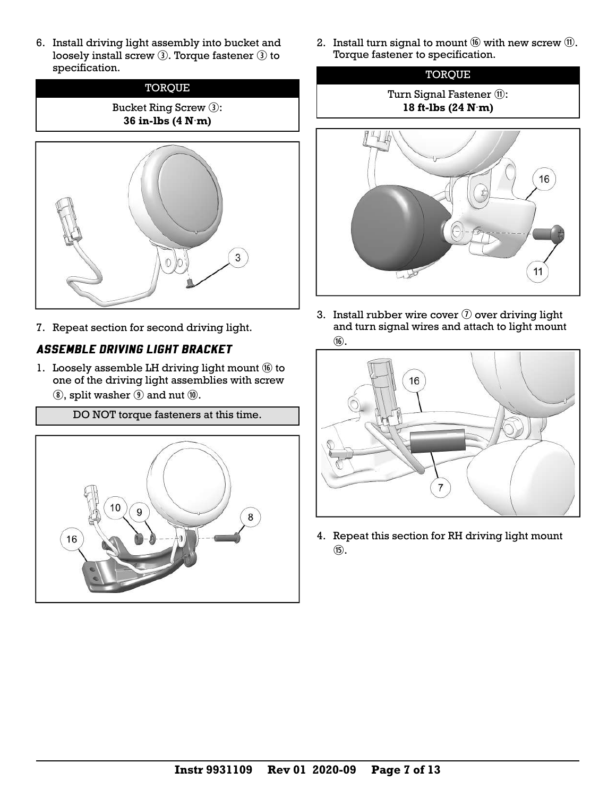6. Install driving light assembly into bucket and loosely install screw  $\circled{3}$ . Torque fastener  $\circled{3}$  to specification.



7. Repeat section for second driving light.

### ASSEMBLE DRIVING LIGHT BRACKET

- 1. Loosely assemble LH driving light mount  $\omega$  to one of the driving light assemblies with screw  $\circledR$ , split washer  $\circledR$  and nut  $\circledR$ .
	- DO NOT torque fasteners at this time.



2. Install turn signal to mount  $\omega$  with new screw  $\omega$ . Torque fastener to specification.



3. Install rubber wire cover  $\mathcal D$  over driving light and turn signal wires and attach to light mount

11



4. Repeat this section for RH driving light mount  $(f)$ .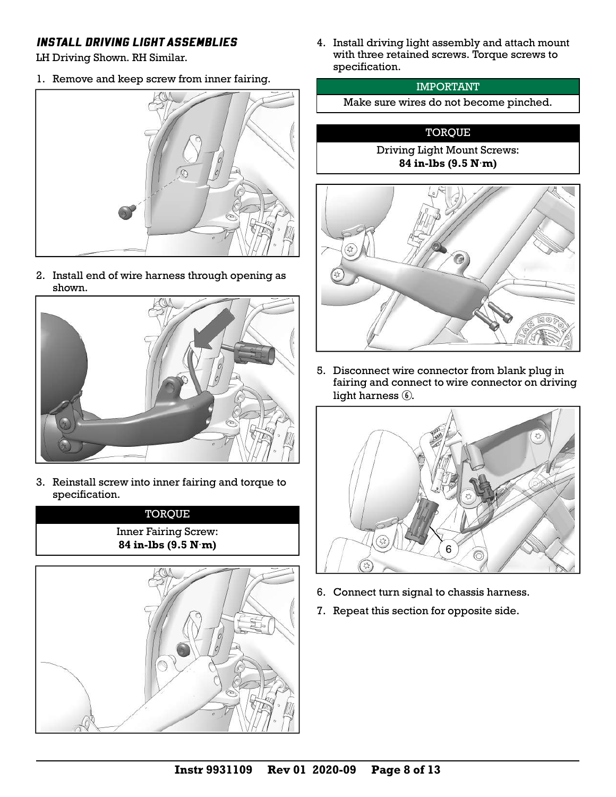#### INSTALL DRIVING LIGHT ASSEMBLIES

LH Driving Shown. RH Similar.

1. Remove and keep screw from inner fairing.



2. Install end of wire harness through opening as shown.



3. Reinstall screw into inner fairing and torque to specification.

**TORQUE** Inner Fairing Screw: **84 in-lbs (9.5 N**·**m)**



4. Install driving light assembly and attach mount with three retained screws. Torque screws to specification.

#### IMPORTANT

Make sure wires do not become pinched.

#### **TORQUE**

Driving Light Mount Screws: **84 in-lbs (9.5 N**·**m)**



5. Disconnect wire connector from blank plug in fairing and connect to wire connector on driving light harness  $<sub>6</sub>$ .</sub>



- 6. Connect turn signal to chassis harness.
- 7. Repeat this section for opposite side.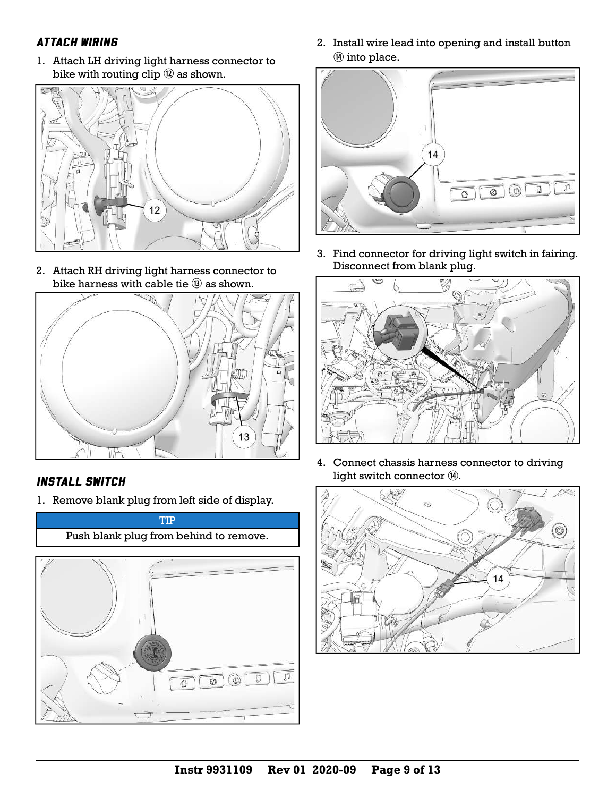### ATTACH WIRING

1. Attach LH driving light harness connector to bike with routing clip  $\mathcal D$  as shown.



2. Attach RH driving light harness connector to bike harness with cable tie  $(3)$  as shown.



#### INSTALL SWITCH

1. Remove blank plug from left side of display.



2. Install wire lead into opening and install button  $\omega$  into place.



3. Find connector for driving light switch in fairing. Disconnect from blank plug.



4. Connect chassis harness connector to driving light switch connector  $@$ .

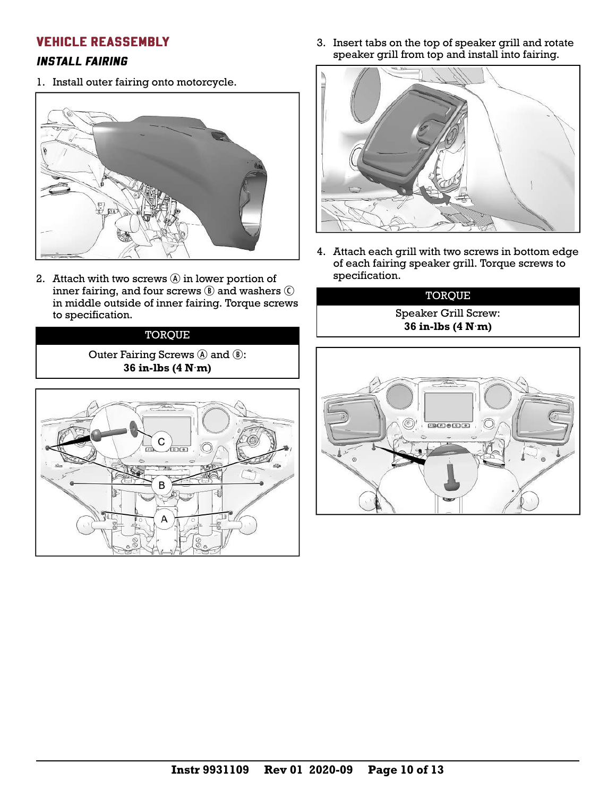#### VEHICLE REASSEMBLY

#### INSTALL FAIRING

1. Install outer fairing onto motorcycle.



2. Attach with two screws  $(A)$  in lower portion of inner fairing, and four screws  $\circledR$  and washers  $\circledC$ in middle outside of inner fairing. Torque screws to specification.

#### **TORQUE**

Outer Fairing Screws  $\circledA$  and  $\circledB$ : **36 in-lbs (4 N**·**m)**



3. Insert tabs on the top of speaker grill and rotate speaker grill from top and install into fairing.



4. Attach each grill with two screws in bottom edge of each fairing speaker grill. Torque screws to specification.

#### TORQUE

Speaker Grill Screw: **36 in-lbs (4 N**·**m)**

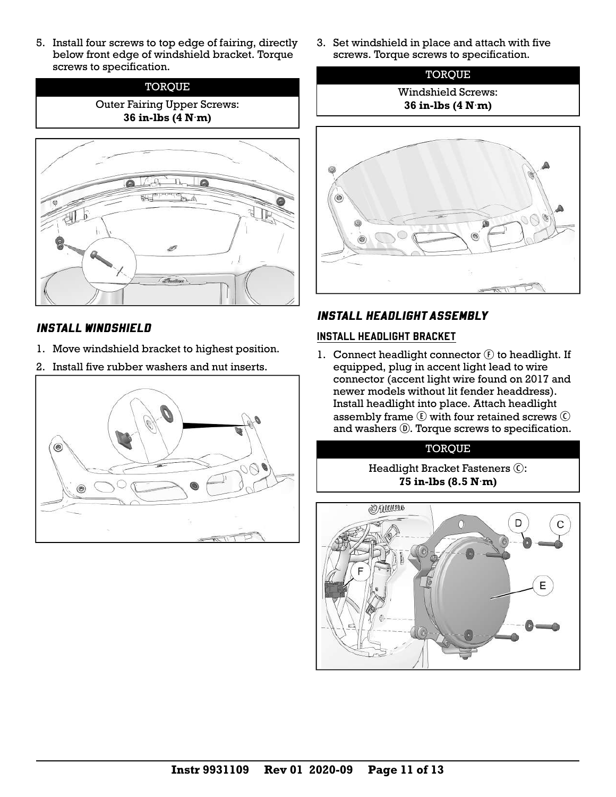5. Install four screws to top edge of fairing, directly below front edge of windshield bracket. Torque screws to specification.





### INSTALL WINDSHIELD

- 1. Move windshield bracket to highest position.
- 2. Install five rubber washers and nut inserts.



3. Set windshield in place and attach with five screws. Torque screws to specification.



# INSTALL HEADLIGHT ASSEMBLY

### INSTALL HEADLIGHT BRACKET

1. Connect headlight connector  $\mathcal{F}$  to headlight. If equipped, plug in accent light lead to wire connector (accent light wire found on 2017 and newer models without lit fender headdress). Install headlight into place. Attach headlight assembly frame  $\odot$  with four retained screws  $\odot$ and washers  $\circledR$ . Torque screws to specification.

# **TORQUE**

Headlight Bracket Fasteners C: **75 in-lbs (8.5 N**·**m)**

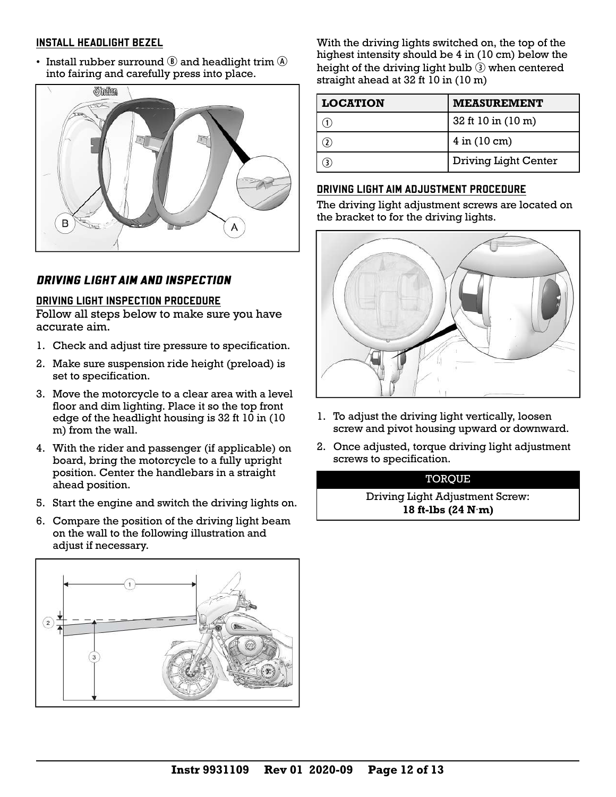#### INSTALL HEADLIGHT BEZEL

• Install rubber surround  $\circled{B}$  and headlight trim  $\circled{A}$ into fairing and carefully press into place.



### DRIVING LIGHT AIM AND INSPECTION

#### DRIVING LIGHT INSPECTION PROCEDURE

Follow all steps below to make sure you have accurate aim.

- 1. Check and adjust tire pressure to specification.
- 2. Make sure suspension ride height (preload) is set to specification.
- 3. Move the motorcycle to a clear area with a level floor and dim lighting. Place it so the top front edge of the headlight housing is 32 ft 10 in (10 m) from the wall.
- 4. With the rider and passenger (if applicable) on board, bring the motorcycle to a fully upright position. Center the handlebars in a straight ahead position.
- 5. Start the engine and switch the driving lights on.
- 6. Compare the position of the driving light beam on the wall to the following illustration and adjust if necessary.



With the driving lights switched on, the top of the highest intensity should be 4 in (10 cm) below the height of the driving light bulb  $\odot$  when centered straight ahead at 32 ft 10 in (10 m)

| <b>LOCATION</b> | <b>MEASUREMENT</b>       |
|-----------------|--------------------------|
|                 | 32 ft 10 in (10 m)       |
|                 | $4$ in $(10 \text{ cm})$ |
|                 | Driving Light Center     |

#### DRIVING LIGHT AIM ADJUSTMENT PROCEDURE

The driving light adjustment screws are located on the bracket to for the driving lights.



- 1. To adjust the driving light vertically, loosen screw and pivot housing upward or downward.
- 2. Once adjusted, torque driving light adjustment screws to specification.

#### **TOROUE**

Driving Light Adjustment Screw: **18 ft-lbs (24 N**·**m)**